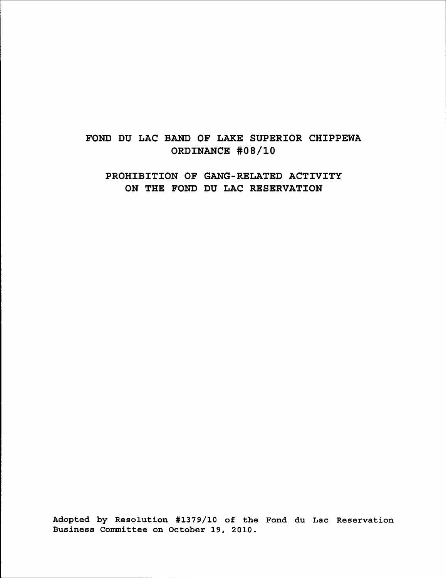## FOND DU LAC BAND OF LAKE SUPERIOR CHIPPEWA ORDINANCE #08/10

PROHIBITION OF GANG-RELATED ACTIVITY ON THE FOND DU LAC RESERVATION

Adopted by Resolution #1379/10 of the Fond du Lac Reservation Business Committee on October 19, 2010.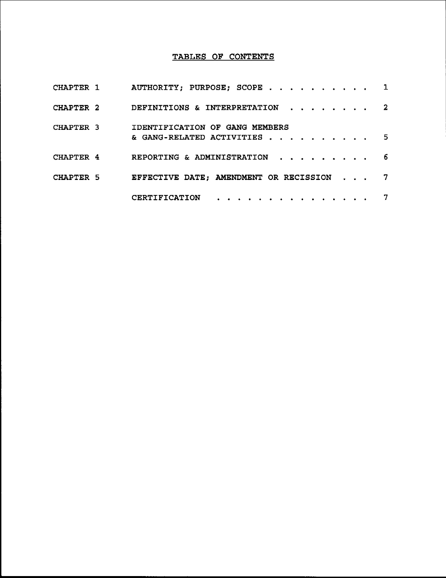## TABLES OF CONTENTS

|           | CHAPTER 1 AUTHORITY; PURPOSE; SCOPE 1                         |  |
|-----------|---------------------------------------------------------------|--|
| CHAPTER 2 | DEFINITIONS & INTERPRETATION 2                                |  |
| CHAPTER 3 | IDENTIFICATION OF GANG MEMBERS<br>& GANG-RELATED ACTIVITIES 5 |  |
| CHAPTER 4 | REPORTING & ADMINISTRATION 6                                  |  |
| CHAPTER 5 | EFFECTIVE DATE; AMENDMENT OR RECISSION 7                      |  |
|           | CERTIFICATION 7                                               |  |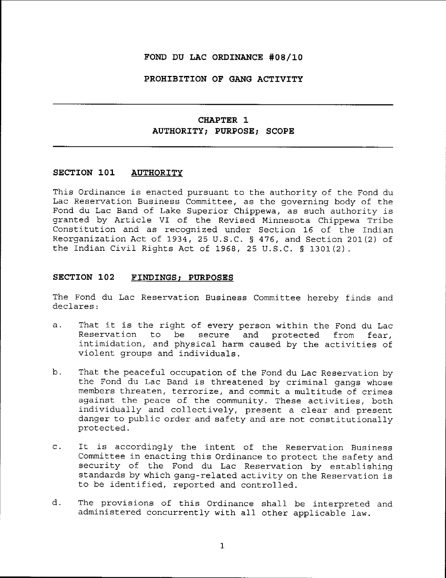#### FOND DU LAC ORDINANCE #08/10

#### PROHIBITION OF GANG ACTIVITY

## CIIAPTER 1 AUTHORITY; PURPOSE; SCOPE

## SECTION 101 AUTHORITY

This Ordinance is enacted pursuant to the authority of the Fond du Lac Reservation Business Committee, as the governing body of the Fond du Lac Band of Lake Superior Chippewa, ds such authority is granted by Article VI of the Revised Minnesota Chippewa tribe Constitution and as recognized under Section 16 of the Indian Reorganization Act of 1934, 25 U.S.C. § 476, and Section 201(2) of the Indian Civil Rights Act of L958, 25 U.S.C. S I30I(Z).

#### SECTION 102 FINDINGS; PURPOSES

The Fond du Lac Reservation Business Committee hereby finds and declares:

- That it is the right of every person within the Fond du Lac Reservation to be secure and protected from fear, intimidation, and physical harm caused by the activities of violent groups and individuals. a .
- That the peaceful occupation of the Fond du Lac Reservation by the Fond du Lac Band is threatened by criminal gangs whose members threaten, terrorize, and commit a multitude of crimes against the peace of the community. These actiwities, both individually and colIectiveIy, present a clear and present danger to public order and safety and are not constitutionally protected.  $b$  .
- It is accordingly the intent of the Reservation Business committee in enacting this ordinance to protect the safety and security of the Fond du Lac Reservation by establishing standards by which gang-related activity on the Reservation is to be identified, reported and controlled.  $\overline{c}$ .
- The provisions of this ordinance shall be interpreted and administered concurrently with all other applicable law.  $d<sub>x</sub>$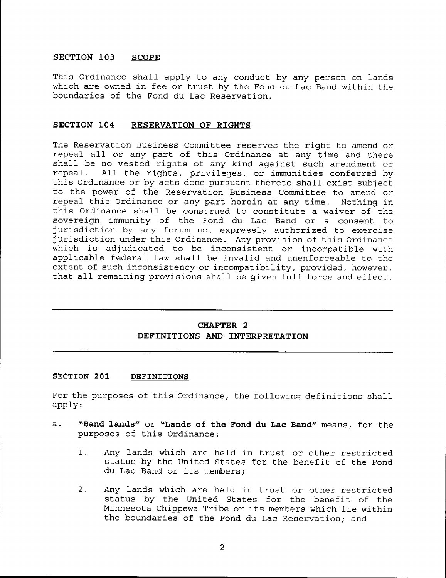### SECTION 103 SCOPE

This Ordinance shall apply to any conduct by any person on lands which are owned in fee or trust by the Fond du Lac Band within the boundaries of the Fond du Lac Reservation.

### SECTION 104 RESERVATION OF RIGHTS

The Reservation Business Committee reserves the right to amend or repeal all or any part of this Ordinance at any time and there shall be no vested rights of any kind against such amendment or repeal. A11 the rights, privileges, or immunities conferred by this Ordinance or by acts done pursuant thereto shall exist subject to the power of the Reservation Business Committee to amend or repeal this Ordinance or any part herein at any time. Nothing in this Ordinance shall be construed to constitute a waiver of the sovereign immunity of the Fond du Lac Band or a consent to jurisdiction by any forum not expressly authorized to exereise jurisdiction under this Ordinance. Any provision of this Ordinance which is adjudicated to be inconsistent or incompatible with applicable federal law shall be invalid and unenforceable to the extent of such inconsistency or incompatibility, provided, however, that all remaining provisions shall be given full force and effect.

## CIIAPTER 2 DEFINITIONS AND INTERPRETATION

#### SECTION 201 DEFINITIONS

For the purposes of this Ordinance, the following definitions shall apply:

- a. "Band lands" or "Lands of the Fond du Lac Band" means, for the purposes of this Ordinance;
	- 1. Any lands which are held in trust or other restricted status by the United States for the benefit of the Fond du Lac Band or its members,.
	- 2. Any lands which are held in trust or other restricted status by the United States for the benefit of the Minnesota Chippewa Tribe or its members which lie within the boundaries of the Fond du Lac Reservation; and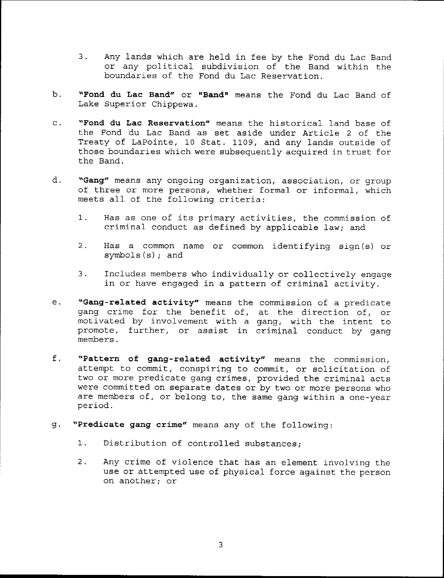- 3. Any lands which are held in fee by the Fond du Lac Band or any political subdivision of the Band within the boundaries of the Fond du Lac Reservation.
- b. "Fond du Lac Band" or "Band" means the Fond du Lac Band of Lake Superior Chippewa.
- $\mathbf{C}$ . "Fond du Lac Reservation" means the historical land base of the Fond du Lac Band as set aside under Article 2 of the Treaty of LaPointe, l0 Stat, 1109, and any lands outside of those boundaries which were subsequently acquired in trust for the Band.
- d. "Gang" means any ongoing organization, association, or group of three or more persons, whether formal or informal, which meets all of the following criteria:
	- 1. Has as one of its primary activities, the commission of criminal conduct as defined by applicable law; and
	- 2, Has a common name or common identifying sign(s) or symbols (s) ; and
	- 3. Includes members who individually or collectively engage in or have engaged in a pattern of criminal activity.
- "Gang-related activity" means the commission of a predicate gang crime for the benefit of, at the direction of, or motivated by involvement with a gang, with the intent to promote, further, or assist in criminal conduct by gang members. e.
- "Pattern of gang-related activity" means the commission, attempt to commit, conspiring to commit, or solicitation of two or more predicate gang crimes, provided the criminal acts were committed on separate dates or by two or more persons who are members of, or belong to, the same gang within a one-year period. f .
- "Predicate gang crime" means any of the following; g .
	- 1. Distribution of controlled substances;
	- $2.$ Any crime of violence that has an element involving the use or attempted use of physical force against the person on another,' or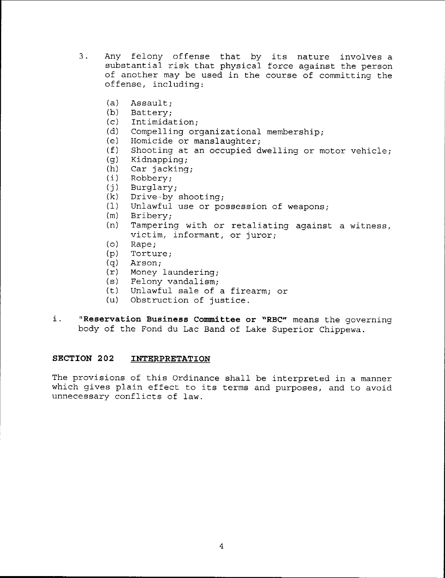- $3<sub>1</sub>$ Any felony offense that by its nature involves a substantial risk that physica force against the person of another may be used in the course of committing the offense, including;
	- $(a)$ Assault;
	- (b) Battery;
	- $(c)$ Intimidation;
	- (d) Compelling organizational membership;
	- (e) Homicide or manslaughter;
	- $(f)$ Shooting at an occupied dwelling or motor vehicle;
	- $(q)$ Kidnapping;
	- (h) Car jacking;
	- (i) Robbery;
	- $(j)$ Burglary;
	- (k) Drive-by shooting;
	- (1) Unlawful use or possession of weapons;
	- (m) Bribery;
	- $(n)$ Tampering with or retaliating against a witness, victim, informant, or juror;
	- (o) Rape;
	- $(p)$ Torture;
	- (q) Arson,'
	- (r) Money launderin
	- (s) Felony vandalism;
	- $(t)$ Unlawful sale of a firearm; or
	- (u) Obstruction of justic
- "Reservation Business Committee or "RBC" means the governing i. body of the Fond du Lac Band of Lake Superior Chippewa.

## SECTION 202 INTERPRETATION

The provisions of this Ordinance shall be interpreted in a manner which gives plain effect to its terms and purposes, and to avoid unnecessary conflicts of 1aw.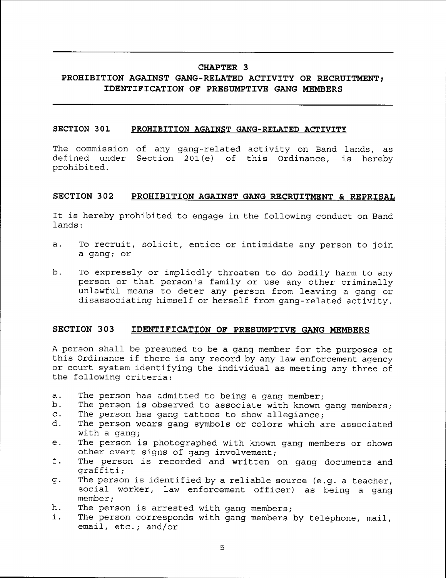#### CHAPTER 3

## PROHIBITION AGAINST GANG-RELATED ACTIVITY OR RECRUITMENT; IDENTIFICATION OF PRESUMPTIVE GANG MEMBERS

#### SECTION 301 PROHIBITION AGAINST GANG-RELATED ACTIVITY

The commission of any gang-related activity on Band lands, as defined under Section 2Ol (e) of this Ordinance, is hereby prohibited.

#### SECTION 302 PROHIBITION AGAINST GANG RECRUITMENT & REPRISAL

It is hereby prohibited to engage in the following conduct on Band lands:

- a. To recruit, solicit, entice or intimidate any person to join a gang; or
- b. To expressly or impliedly threaten to do bodily harm to any person or that person's family or use any other criminally unlawful means to deter any person from leaving a gang or disassociating himself or herself from gang-related activity.

#### SECTION 303 IDENTIFICATION OF PRESUMPTIVE GANG MEMBERS

A person shall be presumed to be a gang member for the purposes of this Ordinance if there is any record by any law enforcement agency or court system identifying the individual as meeting any three of the following criteria:

- a. The person has admitted to being a gang member;
- b. The person is observed to associate with known gang members;<br>c. The person has gang tattoos to show allegiance:
- The person has gang tattoos to show allegiance;
- d. The person wears gang symbols or colors which are associated with a gang;
- The person is photographed with known gang members or shows other overt signs of gang involvement;  $e<sub>1</sub>$
- The person is recorded and written on gang documents and graffiti; f .
- The person is identified by a reliable source (e.g. a teacher, social worker, 1aw enforcement, officer) as being a gang  $member;$ g .
- The person is arrested with gang members; h .
- The person corresponds with gang members by telephone, mai1,email, etc.; and/or i.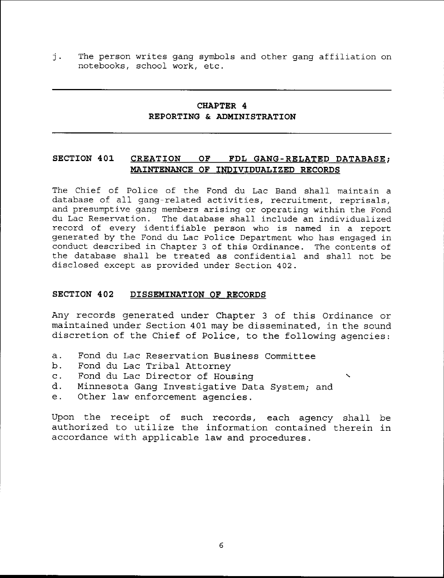i. The person writes gang symbols and other gang affiliation on notebooks, school-work, etc.

## CHAPTER 4 REPORTING & ADMINISTRATTON

## SECTION 401 CREATION OF FDL GANG-RELATED DATABASE; MAINTENANCE OF INDIVIDUALIZED RECORDS

The Chief of Police of the Fond du Lac Band shall maintain a database of all gang-related activities, recruitment, reprisals, and presumptive gang members arising or operating within the Fond du Lac Reservation. The database shall include an individualized record of every identifiable person who is named in a report generated by the Fond du Lac Police Department who has engaged in conduct described in Chapter 3 of this Ordinance. The contents of the database shall be treated as confidential and shalf not be disclosed except as provided under Section 402.

#### SECTION 402 DISSEMINATION OF RECORDS

Any records generated under Chapter 3 of this Ordinance or maintained under Section 401 may be disseminated, in the sound discretion of the Chief of Police, to the following agencies:

- a. Fond du Lac Reservation Business Committee
- b. Fond du Lac Tribal Attorney
- c. Fond du Lac Director of Housing
- d. Minnesota Gang Investigative Data System; and
- e. Other law enforcement agencies.

Upon the receipt of such records, each agency shall be authorized to utilize the information contained therein in accordance with applicable law and procedures.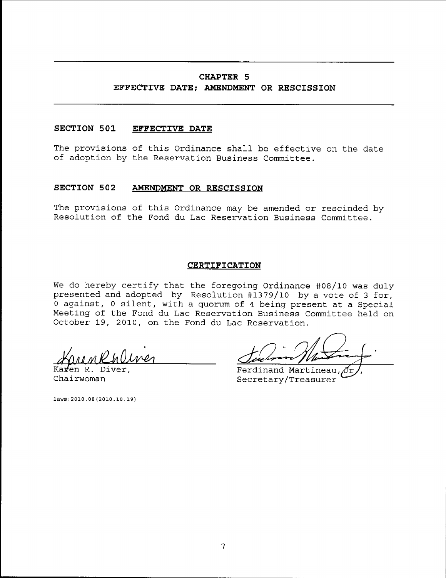## CHAPTER 5 EFFECTIVE DATE; AMENDMENT OR RESCISSION

#### SECTION 501 EFFECTIVE DATE

The provisions of this Ordinance shall be effective on the date of adoption by the Reservation Business Committee.

#### SECTION 502 AMENDMENT OR RESCISSION

The provisions of this Ordinance may be amended or rescinded by Resolution of the Fond du Lac Reservation Business Committee.

#### CERTIFICATION

We do hereby certify that the foregoing Ordinance #08/10 was duly presented and adopted by Resolution #1379/10 by a vote of 3 for, 0 againsL, 0 silent, with a quorum of 4 being present at a Special Meeting of the Fond du Lac Reservation Business Committee held on October 19, 2010, on the Fond du Lac Reservation.

Kai Chairwoman

 $laws: 2010.08(2010.10.19)$ 

.<br>Ferdinand Martineau, Ferdinand Martineau, Secretary/Treasurer